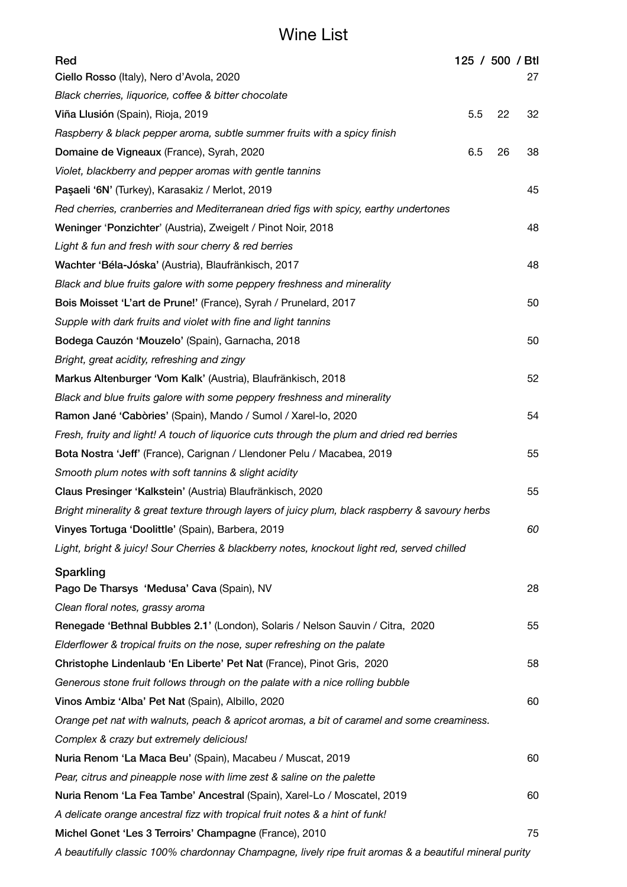## Wine List

| Red                                                                                             |     |    | 125 / 500 / Btl |
|-------------------------------------------------------------------------------------------------|-----|----|-----------------|
| Ciello Rosso (Italy), Nero d'Avola, 2020                                                        |     |    | 27              |
| Black cherries, liquorice, coffee & bitter chocolate                                            |     |    |                 |
| Viña Llusión (Spain), Rioja, 2019                                                               | 5.5 | 22 | 32              |
| Raspberry & black pepper aroma, subtle summer fruits with a spicy finish                        |     |    |                 |
| Domaine de Vigneaux (France), Syrah, 2020                                                       | 6.5 | 26 | 38              |
| Violet, blackberry and pepper aromas with gentle tannins                                        |     |    |                 |
| Paşaeli '6N' (Turkey), Karasakiz / Merlot, 2019                                                 |     |    | 45              |
| Red cherries, cranberries and Mediterranean dried figs with spicy, earthy undertones            |     |    |                 |
| Weninger 'Ponzichter' (Austria), Zweigelt / Pinot Noir, 2018                                    |     |    | 48              |
| Light & fun and fresh with sour cherry & red berries                                            |     |    |                 |
| Wachter 'Béla-Jóska' (Austria), Blaufränkisch, 2017                                             |     |    | 48              |
| Black and blue fruits galore with some peppery freshness and minerality                         |     |    |                 |
| Bois Moisset 'L'art de Prune!' (France), Syrah / Prunelard, 2017                                |     |    | 50              |
| Supple with dark fruits and violet with fine and light tannins                                  |     |    |                 |
| Bodega Cauzón 'Mouzelo' (Spain), Garnacha, 2018                                                 |     |    | 50              |
| Bright, great acidity, refreshing and zingy                                                     |     |    |                 |
| Markus Altenburger 'Vom Kalk' (Austria), Blaufränkisch, 2018                                    |     |    | 52              |
| Black and blue fruits galore with some peppery freshness and minerality                         |     |    |                 |
| Ramon Jané 'Cabòries' (Spain), Mando / Sumol / Xarel-lo, 2020                                   |     |    | 54              |
| Fresh, fruity and light! A touch of liquorice cuts through the plum and dried red berries       |     |    |                 |
| Bota Nostra 'Jeff' (France), Carignan / Llendoner Pelu / Macabea, 2019                          |     |    | 55              |
| Smooth plum notes with soft tannins & slight acidity                                            |     |    |                 |
| Claus Presinger 'Kalkstein' (Austria) Blaufränkisch, 2020                                       |     |    | 55              |
| Bright minerality & great texture through layers of juicy plum, black raspberry & savoury herbs |     |    |                 |
| Vinyes Tortuga 'Doolittle' (Spain), Barbera, 2019                                               |     |    | 60              |
| Light, bright & juicy! Sour Cherries & blackberry notes, knockout light red, served chilled     |     |    |                 |
| Sparkling                                                                                       |     |    |                 |
| Pago De Tharsys 'Medusa' Cava (Spain), NV                                                       |     |    | 28              |
| Clean floral notes, grassy aroma                                                                |     |    |                 |
| Renegade 'Bethnal Bubbles 2.1' (London), Solaris / Nelson Sauvin / Citra, 2020                  |     |    | 55              |
| Elderflower & tropical fruits on the nose, super refreshing on the palate                       |     |    |                 |
| Christophe Lindenlaub 'En Liberte' Pet Nat (France), Pinot Gris, 2020                           |     |    | 58              |
| Generous stone fruit follows through on the palate with a nice rolling bubble                   |     |    |                 |
| Vinos Ambiz 'Alba' Pet Nat (Spain), Albillo, 2020                                               |     |    | 60              |
| Orange pet nat with walnuts, peach & apricot aromas, a bit of caramel and some creaminess.      |     |    |                 |
| Complex & crazy but extremely delicious!                                                        |     |    |                 |
| Nuria Renom 'La Maca Beu' (Spain), Macabeu / Muscat, 2019                                       |     |    | 60              |
| Pear, citrus and pineapple nose with lime zest & saline on the palette                          |     |    |                 |
| Nuria Renom 'La Fea Tambe' Ancestral (Spain), Xarel-Lo / Moscatel, 2019                         |     |    | 60              |
| A delicate orange ancestral fizz with tropical fruit notes & a hint of funk!                    |     |    |                 |
| Michel Gonet 'Les 3 Terroirs' Champagne (France), 2010                                          |     |    | 75              |

*A beautifully classic 100% chardonnay Champagne, lively ripe fruit aromas & a beautiful mineral purity*